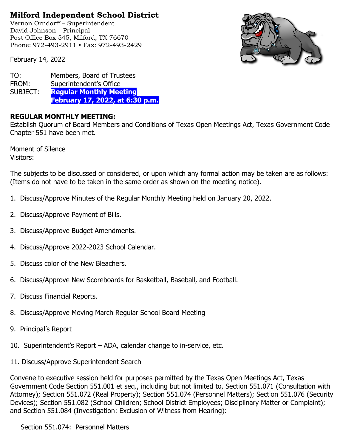## **Milford Independent School District**

Vernon Orndorff – Superintendent David Johnson – Principal Post Office Box 545, Milford, TX 76670 Phone: 972-493-2911 • Fax: 972-493-2429





TO: Members, Board of Trustees FROM: Superintendent's Office SUBJECT: **Regular Monthly Meeting February 17, 2022, at 6:30 p.m.**

## **REGULAR MONTHLY MEETING:**

Establish Quorum of Board Members and Conditions of Texas Open Meetings Act, Texas Government Code Chapter 551 have been met.

Moment of Silence Visitors:

The subjects to be discussed or considered, or upon which any formal action may be taken are as follows: (Items do not have to be taken in the same order as shown on the meeting notice).

- 1. Discuss/Approve Minutes of the Regular Monthly Meeting held on January 20, 2022.
- 2. Discuss/Approve Payment of Bills.
- 3. Discuss/Approve Budget Amendments.
- 4. Discuss/Approve 2022-2023 School Calendar.
- 5. Discuss color of the New Bleachers.
- 6. Discuss/Approve New Scoreboards for Basketball, Baseball, and Football.
- 7. Discuss Financial Reports.
- 8. Discuss/Approve Moving March Regular School Board Meeting
- 9. Principal's Report
- 10. Superintendent's Report ADA, calendar change to in-service, etc.
- 11. Discuss/Approve Superintendent Search

Convene to executive session held for purposes permitted by the Texas Open Meetings Act, Texas Government Code Section 551.001 et seq., including but not limited to, Section 551.071 (Consultation with Attorney); Section 551.072 (Real Property); Section 551.074 (Personnel Matters); Section 551.076 (Security Devices); Section 551.082 (School Children; School District Employees; Disciplinary Matter or Complaint); and Section 551.084 (Investigation: Exclusion of Witness from Hearing):

Section 551.074: Personnel Matters